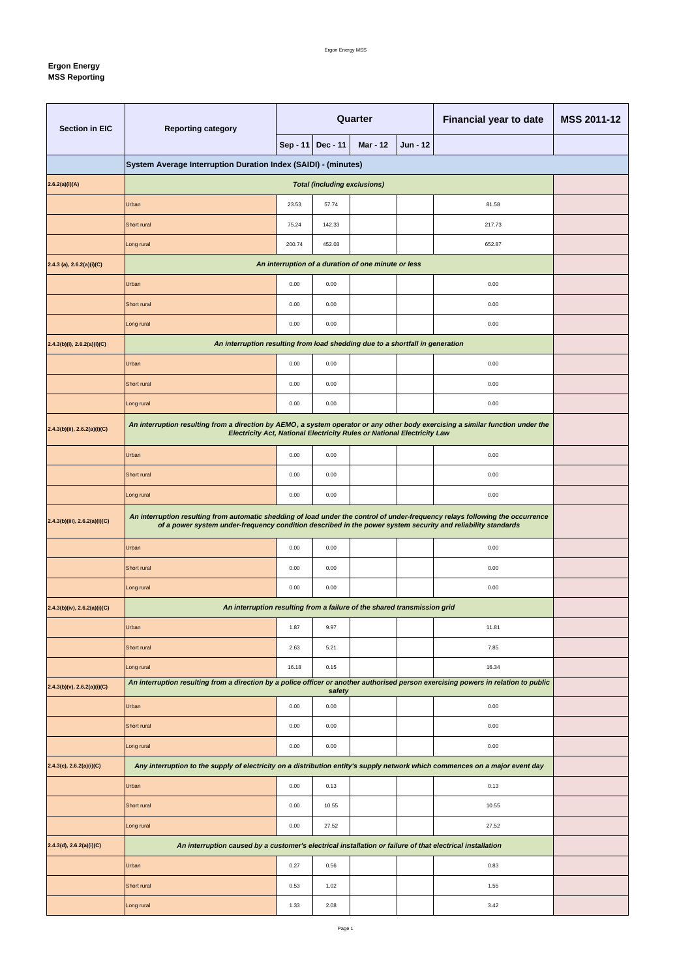## **Ergon Energy MSS Reporting**

| <b>Section in EIC</b>             | <b>Reporting category</b>                                                                                                                                                                                                                      | Quarter |                   |                                                     |                 | <b>Financial year to date</b> | <b>MSS 2011-12</b> |  |  |  |
|-----------------------------------|------------------------------------------------------------------------------------------------------------------------------------------------------------------------------------------------------------------------------------------------|---------|-------------------|-----------------------------------------------------|-----------------|-------------------------------|--------------------|--|--|--|
|                                   |                                                                                                                                                                                                                                                |         | Sep - 11 Dec - 11 | <b>Mar - 12</b>                                     | <b>Jun - 12</b> |                               |                    |  |  |  |
|                                   | System Average Interruption Duration Index (SAIDI) - (minutes)                                                                                                                                                                                 |         |                   |                                                     |                 |                               |                    |  |  |  |
| 2.6.2(a)(i)(A)                    | <b>Total (including exclusions)</b>                                                                                                                                                                                                            |         |                   |                                                     |                 |                               |                    |  |  |  |
|                                   | Urban                                                                                                                                                                                                                                          | 23.53   | 57.74             |                                                     |                 | 81.58                         |                    |  |  |  |
|                                   | Short rural                                                                                                                                                                                                                                    | 75.24   | 142.33            |                                                     |                 | 217.73                        |                    |  |  |  |
|                                   | Long rural                                                                                                                                                                                                                                     | 200.74  | 452.03            |                                                     |                 | 652.87                        |                    |  |  |  |
| $2.4.3$ (a), $2.6.2(a)(i)(C)$     |                                                                                                                                                                                                                                                |         |                   | An interruption of a duration of one minute or less |                 |                               |                    |  |  |  |
|                                   | Urban                                                                                                                                                                                                                                          | 0.00    | 0.00              |                                                     |                 | 0.00                          |                    |  |  |  |
|                                   | Short rural                                                                                                                                                                                                                                    | 0.00    | 0.00              |                                                     |                 | 0.00                          |                    |  |  |  |
|                                   | Long rural                                                                                                                                                                                                                                     | 0.00    | 0.00              |                                                     |                 | 0.00                          |                    |  |  |  |
| $2.4.3(b)(i)$ , $2.6.2(a)(i)(C)$  | An interruption resulting from load shedding due to a shortfall in generation                                                                                                                                                                  |         |                   |                                                     |                 |                               |                    |  |  |  |
|                                   | Urban                                                                                                                                                                                                                                          | 0.00    | 0.00              |                                                     |                 | 0.00                          |                    |  |  |  |
|                                   | Short rural                                                                                                                                                                                                                                    | 0.00    | 0.00              |                                                     |                 | 0.00                          |                    |  |  |  |
|                                   | Long rural                                                                                                                                                                                                                                     | 0.00    | 0.00              |                                                     |                 | 0.00                          |                    |  |  |  |
| $2.4.3(b)(ii)$ , $2.6.2(a)(i)(C)$ | An interruption resulting from a direction by AEMO, a system operator or any other body exercising a similar function under the<br>Electricity Act, National Electricity Rules or National Electricity Law                                     |         |                   |                                                     |                 |                               |                    |  |  |  |
|                                   | Urban                                                                                                                                                                                                                                          | 0.00    | 0.00              |                                                     |                 | 0.00                          |                    |  |  |  |
|                                   | Short rural                                                                                                                                                                                                                                    | 0.00    | 0.00              |                                                     |                 | 0.00                          |                    |  |  |  |
|                                   | Long rural                                                                                                                                                                                                                                     | 0.00    | 0.00              |                                                     |                 | 0.00                          |                    |  |  |  |
| 2.4.3(b)(iii), 2.6.2(a)(i)(C)     | An interruption resulting from automatic shedding of load under the control of under-frequency relays following the occurrence<br>of a power system under-frequency condition described in the power system security and reliability standards |         |                   |                                                     |                 |                               |                    |  |  |  |
|                                   | Urban<br>0.00<br>0.00<br>0.00                                                                                                                                                                                                                  |         |                   |                                                     |                 |                               |                    |  |  |  |
|                                   | Short rural                                                                                                                                                                                                                                    | 0.00    | 0.00              |                                                     |                 | 0.00                          |                    |  |  |  |
|                                   | Long rural                                                                                                                                                                                                                                     | 0.00    | 0.00              |                                                     |                 | 0.00                          |                    |  |  |  |
| $2.4.3(b)(iv)$ , 2.6.2(a)(i)(C)   | An interruption resulting from a failure of the shared transmission grid                                                                                                                                                                       |         |                   |                                                     |                 |                               |                    |  |  |  |
|                                   | Urban                                                                                                                                                                                                                                          | 1.87    | 9.97              |                                                     |                 | 11.81                         |                    |  |  |  |
|                                   | Short rural                                                                                                                                                                                                                                    | 2.63    | 5.21              |                                                     |                 | 7.85                          |                    |  |  |  |
|                                   | Long rural                                                                                                                                                                                                                                     | 16.18   | 0.15              |                                                     |                 | 16.34                         |                    |  |  |  |
| $2.4.3(b)(v)$ , 2.6.2(a)(i)(C)    | An interruption resulting from a direction by a police officer or another authorised person exercising powers in relation to public                                                                                                            |         | safety            |                                                     |                 |                               |                    |  |  |  |
|                                   | Urban                                                                                                                                                                                                                                          | 0.00    | 0.00              |                                                     |                 | 0.00                          |                    |  |  |  |
|                                   | Short rural                                                                                                                                                                                                                                    | 0.00    | 0.00              |                                                     |                 | 0.00                          |                    |  |  |  |
|                                   | Long rural                                                                                                                                                                                                                                     | 0.00    | 0.00              |                                                     |                 | 0.00                          |                    |  |  |  |
| $2.4.3(c)$ , $2.6.2(a)(i)(C)$     | Any interruption to the supply of electricity on a distribution entity's supply network which commences on a major event day                                                                                                                   |         |                   |                                                     |                 |                               |                    |  |  |  |
|                                   | Urban                                                                                                                                                                                                                                          | 0.00    | 0.13              |                                                     |                 | 0.13                          |                    |  |  |  |
|                                   | Short rural                                                                                                                                                                                                                                    | 0.00    | 10.55             |                                                     |                 | 10.55                         |                    |  |  |  |
|                                   | Long rural                                                                                                                                                                                                                                     | 0.00    | 27.52             |                                                     |                 | 27.52                         |                    |  |  |  |
| 2.4.3(d), 2.6.2(a)(i)(C)          | An interruption caused by a customer's electrical installation or failure of that electrical installation                                                                                                                                      |         |                   |                                                     |                 |                               |                    |  |  |  |
|                                   | Urban                                                                                                                                                                                                                                          | 0.27    | $0.56\,$          |                                                     |                 | 0.83                          |                    |  |  |  |
|                                   | Short rural                                                                                                                                                                                                                                    | 0.53    | 1.02              |                                                     |                 | 1.55                          |                    |  |  |  |
|                                   | Long rural                                                                                                                                                                                                                                     | 1.33    | 2.08              |                                                     |                 | 3.42                          |                    |  |  |  |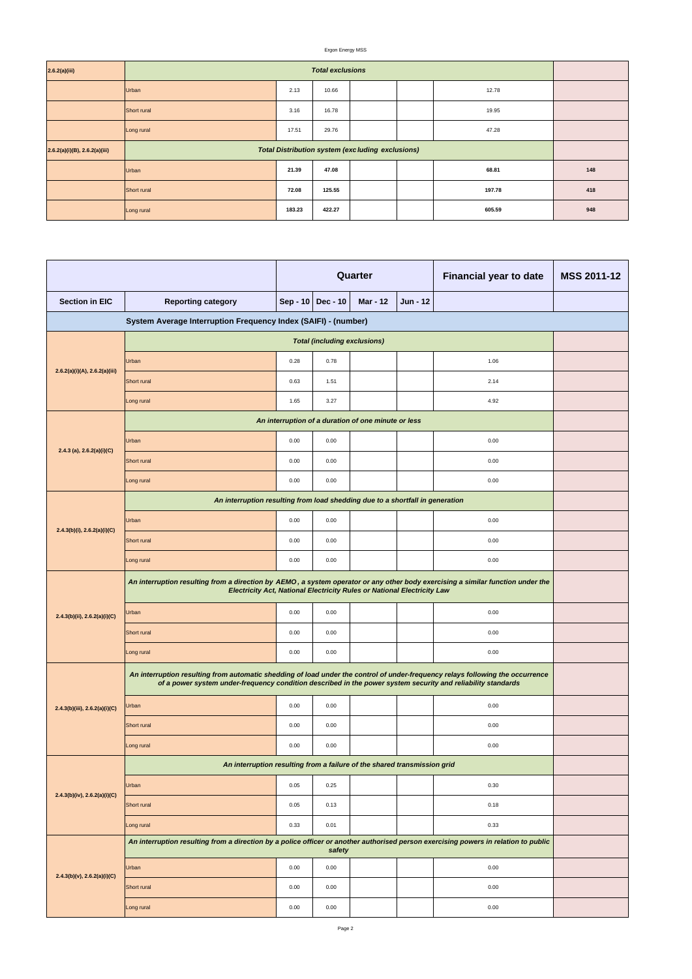### Ergon Energy MSS

| 2.6.2(a)(iii)                      | <b>Total exclusions</b>                                 |        |        |  |  |        |     |  |  |
|------------------------------------|---------------------------------------------------------|--------|--------|--|--|--------|-----|--|--|
|                                    | Urban                                                   | 2.13   | 10.66  |  |  | 12.78  |     |  |  |
|                                    | Short rural                                             | 3.16   | 16.78  |  |  | 19.95  |     |  |  |
|                                    | Long rural                                              | 17.51  | 29.76  |  |  | 47.28  |     |  |  |
| $2.6.2(a)(i)(B)$ , $2.6.2(a)(iii)$ | <b>Total Distribution system (excluding exclusions)</b> |        |        |  |  |        |     |  |  |
|                                    | Urban                                                   | 21.39  | 47.08  |  |  | 68.81  | 148 |  |  |
|                                    | Short rural                                             | 72.08  | 125.55 |  |  | 197.78 | 418 |  |  |
|                                    | Long rural                                              | 183.23 | 422.27 |  |  | 605.59 | 948 |  |  |

|                                                                |                                                                                                                                                                                                                                                |      |                     | Quarter         |                 | <b>Financial year to date</b> | <b>MSS 2011-12</b> |  |  |
|----------------------------------------------------------------|------------------------------------------------------------------------------------------------------------------------------------------------------------------------------------------------------------------------------------------------|------|---------------------|-----------------|-----------------|-------------------------------|--------------------|--|--|
| <b>Section in EIC</b><br><b>Reporting category</b>             |                                                                                                                                                                                                                                                |      | Sep - 10   Dec - 10 | <b>Mar - 12</b> | <b>Jun - 12</b> |                               |                    |  |  |
| System Average Interruption Frequency Index (SAIFI) - (number) |                                                                                                                                                                                                                                                |      |                     |                 |                 |                               |                    |  |  |
|                                                                | <b>Total (including exclusions)</b>                                                                                                                                                                                                            |      |                     |                 |                 |                               |                    |  |  |
|                                                                | Urban                                                                                                                                                                                                                                          | 0.28 | 0.78                |                 |                 | 1.06                          |                    |  |  |
| 2.6.2(a)(i)(A), 2.6.2(a)(iii)                                  | Short rural                                                                                                                                                                                                                                    | 0.63 | 1.51                |                 |                 | 2.14                          |                    |  |  |
|                                                                | Long rural                                                                                                                                                                                                                                     | 1.65 | 3.27                |                 |                 | 4.92                          |                    |  |  |
|                                                                | An interruption of a duration of one minute or less                                                                                                                                                                                            |      |                     |                 |                 |                               |                    |  |  |
| 2.4.3 (a), $2.6.2(a)(i)(C)$                                    | Urban                                                                                                                                                                                                                                          | 0.00 | 0.00                |                 |                 | 0.00                          |                    |  |  |
|                                                                | Short rural                                                                                                                                                                                                                                    | 0.00 | 0.00                |                 |                 | 0.00                          |                    |  |  |
|                                                                | Long rural                                                                                                                                                                                                                                     | 0.00 | 0.00                |                 |                 | 0.00                          |                    |  |  |
|                                                                | An interruption resulting from load shedding due to a shortfall in generation                                                                                                                                                                  |      |                     |                 |                 |                               |                    |  |  |
| $2.4.3(b)(i)$ , $2.6.2(a)(i)(C)$                               | Urban                                                                                                                                                                                                                                          | 0.00 | 0.00                |                 |                 | 0.00                          |                    |  |  |
|                                                                | Short rural                                                                                                                                                                                                                                    | 0.00 | 0.00                |                 |                 | 0.00                          |                    |  |  |
|                                                                | Long rural                                                                                                                                                                                                                                     | 0.00 | 0.00                |                 |                 | 0.00                          |                    |  |  |
|                                                                | An interruption resulting from a direction by AEMO, a system operator or any other body exercising a similar function under the<br>Electricity Act, National Electricity Rules or National Electricity Law                                     |      |                     |                 |                 |                               |                    |  |  |
| 2.4.3(b)(ii), 2.6.2(a)(i)(C)                                   | Urban                                                                                                                                                                                                                                          | 0.00 | 0.00                |                 |                 | 0.00                          |                    |  |  |
|                                                                | Short rural                                                                                                                                                                                                                                    | 0.00 | 0.00                |                 |                 | 0.00                          |                    |  |  |
|                                                                | Long rural                                                                                                                                                                                                                                     | 0.00 | 0.00                |                 |                 | 0.00                          |                    |  |  |
|                                                                | An interruption resulting from automatic shedding of load under the control of under-frequency relays following the occurrence<br>of a power system under-frequency condition described in the power system security and reliability standards |      |                     |                 |                 |                               |                    |  |  |
| $2.4.3(b)(iii)$ , $2.6.2(a)(i)(C)$                             | Urban                                                                                                                                                                                                                                          | 0.00 | 0.00                |                 |                 | 0.00                          |                    |  |  |
|                                                                | Short rural                                                                                                                                                                                                                                    | 0.00 | 0.00                |                 |                 | 0.00                          |                    |  |  |
|                                                                | Long rural                                                                                                                                                                                                                                     | 0.00 | 0.00                |                 |                 | 0.00                          |                    |  |  |
|                                                                | An interruption resulting from a failure of the shared transmission grid                                                                                                                                                                       |      |                     |                 |                 |                               |                    |  |  |
|                                                                | Urban                                                                                                                                                                                                                                          | 0.05 | 0.25                |                 |                 | 0.30                          |                    |  |  |
| $2.4.3(b)(iv)$ , $2.6.2(a)(i)(C)$                              | Short rural                                                                                                                                                                                                                                    | 0.05 | 0.13                |                 |                 | 0.18                          |                    |  |  |
|                                                                | Long rural                                                                                                                                                                                                                                     | 0.33 | 0.01                |                 |                 | 0.33                          |                    |  |  |
|                                                                | An interruption resulting from a direction by a police officer or another authorised person exercising powers in relation to public                                                                                                            |      | safety              |                 |                 |                               |                    |  |  |
|                                                                | Urban                                                                                                                                                                                                                                          | 0.00 | 0.00                |                 |                 | 0.00                          |                    |  |  |
| $2.4.3(b)(v)$ , $2.6.2(a)(i)(C)$                               | Short rural                                                                                                                                                                                                                                    | 0.00 | 0.00                |                 |                 | 0.00                          |                    |  |  |
|                                                                | Long rural                                                                                                                                                                                                                                     | 0.00 | 0.00                |                 |                 | 0.00                          |                    |  |  |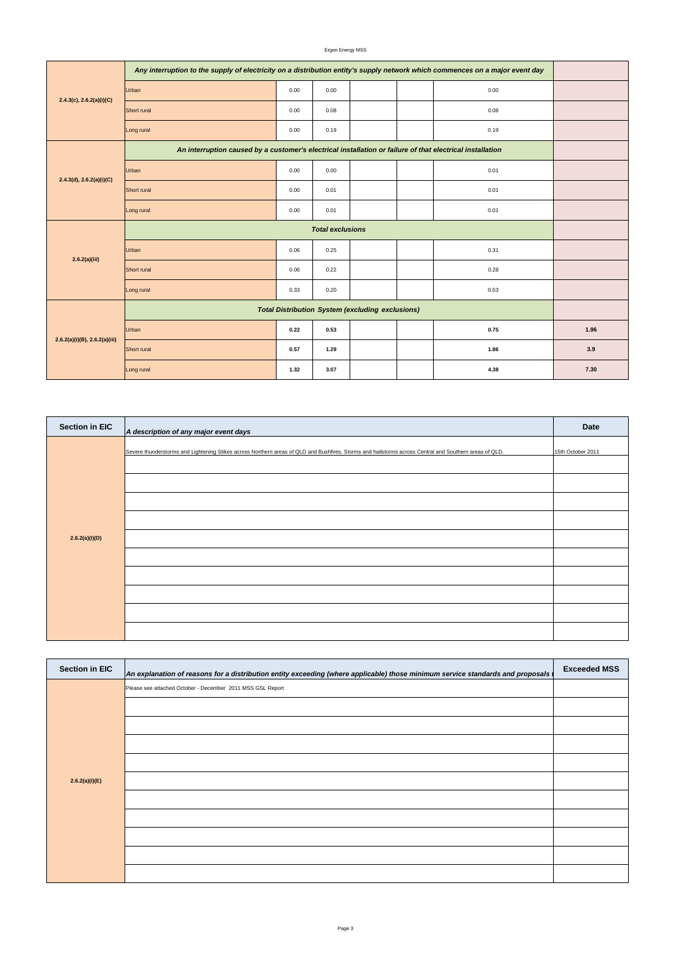Ergon Energy MSS

| <b>Section in EIC</b> | An explanation of reasons for a distribution entity exceeding (where applicable) those minimum service standards and proposals | <b>Exceeded MSS</b> |
|-----------------------|--------------------------------------------------------------------------------------------------------------------------------|---------------------|
|                       | Please see attached October - December 2011 MSS GSL Report                                                                     |                     |
|                       |                                                                                                                                |                     |
|                       |                                                                                                                                |                     |
|                       |                                                                                                                                |                     |

| $2.4.3(c)$ , $2.6.2(a)(i)(C)$ | Any interruption to the supply of electricity on a distribution entity's supply network which commences on a major event day |      |      |  |  |      |      |  |  |  |
|-------------------------------|------------------------------------------------------------------------------------------------------------------------------|------|------|--|--|------|------|--|--|--|
|                               | Urban                                                                                                                        | 0.00 | 0.00 |  |  | 0.00 |      |  |  |  |
|                               | Short rural                                                                                                                  | 0.00 | 0.08 |  |  | 0.08 |      |  |  |  |
|                               | Long rural                                                                                                                   | 0.00 | 0.19 |  |  | 0.19 |      |  |  |  |
|                               | An interruption caused by a customer's electrical installation or failure of that electrical installation                    |      |      |  |  |      |      |  |  |  |
|                               | Urban                                                                                                                        | 0.00 | 0.00 |  |  | 0.01 |      |  |  |  |
| 2.4.3(d), 2.6.2(a)(i)(C)      | Short rural                                                                                                                  | 0.00 | 0.01 |  |  | 0.01 |      |  |  |  |
|                               | Long rural                                                                                                                   | 0.00 | 0.01 |  |  | 0.01 |      |  |  |  |
|                               | <b>Total exclusions</b>                                                                                                      |      |      |  |  |      |      |  |  |  |
| 2.6.2(a)(iii)                 | Urban                                                                                                                        | 0.06 | 0.25 |  |  | 0.31 |      |  |  |  |
|                               | Short rural                                                                                                                  | 0.06 | 0.22 |  |  | 0.28 |      |  |  |  |
|                               | Long rural                                                                                                                   | 0.33 | 0.20 |  |  | 0.53 |      |  |  |  |
| 2.6.2(a)(i)(B), 2.6.2(a)(iii) | <b>Total Distribution System (excluding exclusions)</b>                                                                      |      |      |  |  |      |      |  |  |  |
|                               | Urban                                                                                                                        | 0.22 | 0.53 |  |  | 0.75 | 1.96 |  |  |  |
|                               | Short rural                                                                                                                  | 0.57 | 1.29 |  |  | 1.86 | 3.9  |  |  |  |
|                               | Long rural                                                                                                                   | 1.32 | 3.07 |  |  | 4.38 | 7.30 |  |  |  |

| <b>Section in EIC</b> | A description of any major event days                                                                                                                  | <b>Date</b>       |
|-----------------------|--------------------------------------------------------------------------------------------------------------------------------------------------------|-------------------|
|                       | Severe thunderstorms and Lightening Stikes across Northern areas of QLD and Bushfires, Storms and hailstorms across Central and Southern areas of QLD. | 15th October 2011 |
|                       |                                                                                                                                                        |                   |
| 2.6.2(a)(i)(D)        |                                                                                                                                                        |                   |
|                       |                                                                                                                                                        |                   |
|                       |                                                                                                                                                        |                   |
|                       |                                                                                                                                                        |                   |
|                       |                                                                                                                                                        |                   |
|                       |                                                                                                                                                        |                   |

| 2.6.2(a)(i)(E) |  |
|----------------|--|
|                |  |
|                |  |
|                |  |
|                |  |
|                |  |